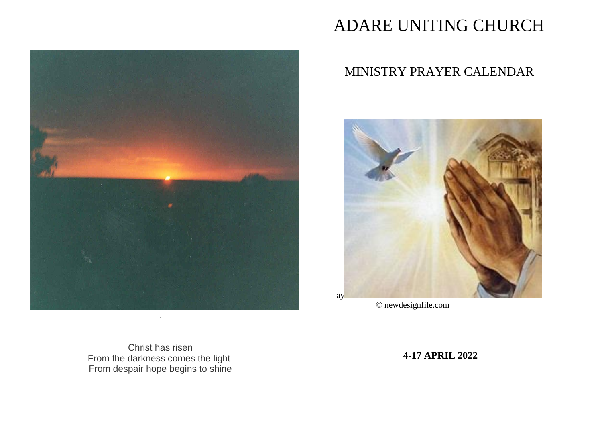

# ADARE UNITING CHURCH

# MINISTRY PRAYER CALENDAR



© newdesignfile.com

Christ has risen From the darkness comes the light From despair hope begins to shine

**4-17 APRIL 2022**